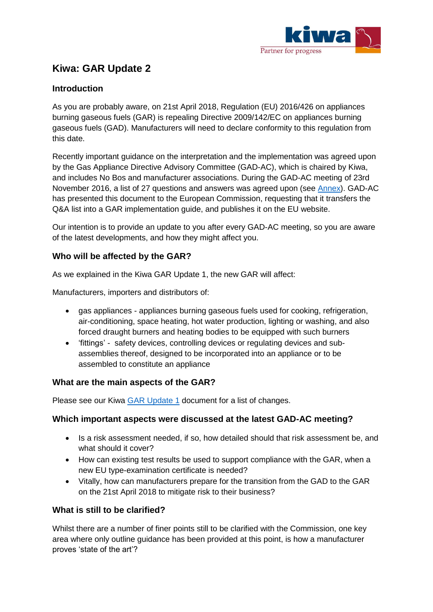

# **Kiwa: GAR Update 2**

## **Introduction**

As you are probably aware, on 21st April 2018, Regulation (EU) 2016/426 on appliances burning gaseous fuels (GAR) is repealing Directive 2009/142/EC on appliances burning gaseous fuels (GAD). Manufacturers will need to declare conformity to this regulation from this date.

Recently important guidance on the interpretation and the implementation was agreed upon by the Gas Appliance Directive Advisory Committee (GAD-AC), which is chaired by Kiwa, and includes No Bos and manufacturer associations. During the GAD-AC meeting of 23rd November 2016, a list of 27 questions and answers was agreed upon (see [Annex\)](http://services.1kiwa.com/library/diensten-kiwa-nl/files/Annex.pdf). GAD-AC has presented this document to the European Commission, requesting that it transfers the Q&A list into a GAR implementation guide, and publishes it on the EU website.

Our intention is to provide an update to you after every GAD-AC meeting, so you are aware of the latest developments, and how they might affect you.

### **Who will be affected by the GAR?**

As we explained in the Kiwa GAR Update 1, the new GAR will affect:

Manufacturers, importers and distributors of:

- gas appliances appliances burning gaseous fuels used for cooking, refrigeration, air-conditioning, space heating, hot water production, lighting or washing, and also forced draught burners and heating bodies to be equipped with such burners
- 'fittings' safety devices, controlling devices or regulating devices and subassemblies thereof, designed to be incorporated into an appliance or to be assembled to constitute an appliance

#### **What are the main aspects of the GAR?**

Please see our Kiwa [GAR Update 1](http://services.1kiwa.com/library/diensten-kiwa-nl/files/White_paper_GAR_final_NL.pdf) document for a list of changes.

#### **Which important aspects were discussed at the latest GAD-AC meeting?**

- Is a risk assessment needed, if so, how detailed should that risk assessment be, and what should it cover?
- How can existing test results be used to support compliance with the GAR, when a new EU type-examination certificate is needed?
- Vitally, how can manufacturers prepare for the transition from the GAD to the GAR on the 21st April 2018 to mitigate risk to their business?

#### **What is still to be clarified?**

Whilst there are a number of finer points still to be clarified with the Commission, one key area where only outline guidance has been provided at this point, is how a manufacturer proves 'state of the art'?